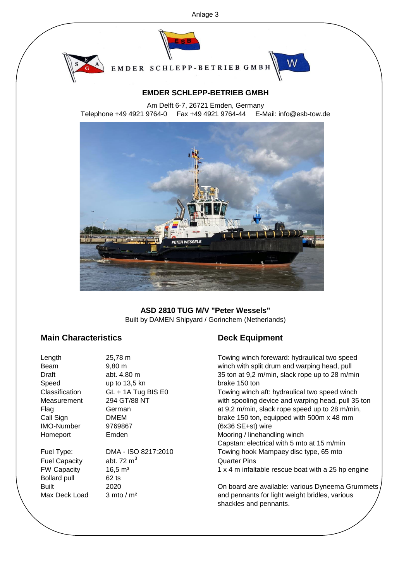

EMDER SCHLEPP-BETRIEB GMBH



W

Am Delft 6-7, 26721 Emden, Germany Telephone +49 4921 9764-0 Fax +49 4921 9764-44 E-Mail: info@esb-tow.de



## Built by DAMEN Shipyard / Gorinchem (Netherlands) **ASD 2810 TUG M/V "Peter Wessels"**

# **Main Characteristics Deck Equipment**

| Length               | 25,78 m                       | Towing winch foreward: hydraulical two speed                             |
|----------------------|-------------------------------|--------------------------------------------------------------------------|
| Beam                 | $9.80 \text{ m}$              | winch with split drum and warping head, pull                             |
| Draft                | abt. 4.80 m                   | 35 ton at 9,2 m/min, slack rope up to 28 m/min                           |
| Speed                | up to 13,5 kn                 | brake 150 ton                                                            |
| Classification       | $GL + 1A$ Tug BIS E0          | Towing winch aft: hydraulical two speed winch                            |
| Measurement          | 294 GT/88 NT                  | with spooling device and warping head, pull 35 ton                       |
| Flag                 | German                        | at 9,2 m/min, slack rope speed up to 28 m/min,                           |
| Call Sign            | DMEM                          | brake 150 ton, equipped with 500m x 48 mm                                |
| <b>IMO-Number</b>    | 9769867                       | (6x36 SE+st) wire                                                        |
| Homeport             | Emden                         | Mooring / linehandling winch                                             |
|                      |                               | Capstan: electrical with 5 mto at 15 m/min                               |
| Fuel Type:           | DMA - ISO 8217:2010           | Towing hook Mampaey disc type, 65 mto                                    |
| <b>Fuel Capacity</b> | abt. 72 $m3$                  | <b>Quarter Pins</b>                                                      |
| <b>FW Capacity</b>   | 16,5 m <sup>3</sup>           | 1 x 4 m infaltable rescue boat with a 25 hp engine                       |
| <b>Bollard pull</b>  | $62$ ts                       |                                                                          |
| Built                | 2020                          | On board are available: various Dyneema Grummets                         |
| Max Deck Load        | $3 \text{ mto} / \text{ m}^2$ | and pennants for light weight bridles, various<br>shackles and pennants. |